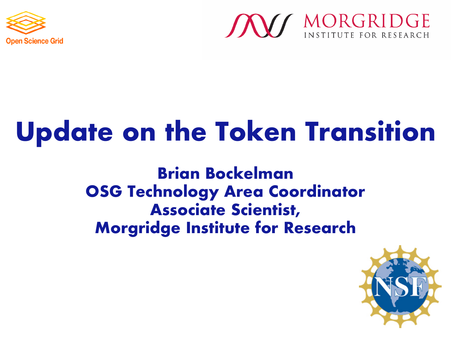



# **Update on the Token Transition**

**Brian Bockelman OSG Technology Area Coordinator Associate Scientist, Morgridge Institute for Research**

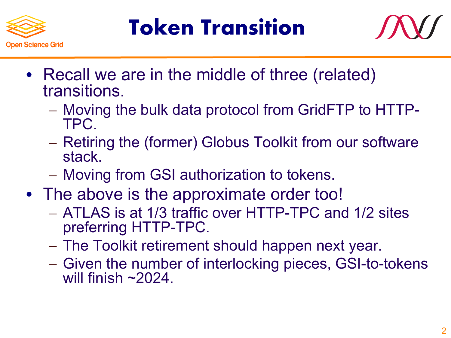

### **Token Transition**



- Recall we are in the middle of three (related) transitions.
	- Moving the bulk data protocol from GridFTP to HTTP- TPC.
	- Retiring the (former) Globus Toolkit from our software stack.
	- Moving from GSI authorization to tokens.
- The above is the approximate order too!
	- ATLAS is at 1/3 traffic over HTTP-TPC and 1/2 sites preferring HTTP-TPC.
	- The Toolkit retirement should happen next year.
	- Given the number of interlocking pieces, GSI-to-tokens will finish  $\sim$  2024.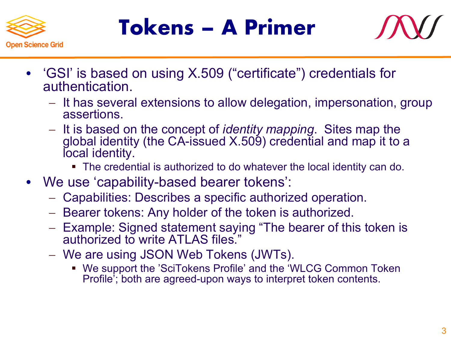

#### **Tokens – A Primer**



- 'GSI' is based on using X.509 ("certificate") credentials for authentication.
	- It has several extensions to allow delegation, impersonation, group assertions.
	- It is based on the concept of *identity mapping*. Sites map the global identity (the CA-issued X.509) credential and map it to a local identity.
		- § The credential is authorized to do whatever the local identity can do.
- We use 'capability-based bearer tokens':
	- Capabilities: Describes a specific authorized operation.
	- Bearer tokens: Any holder of the token is authorized.
	- Example: Signed statement saying "The bearer of this token is authorized to write ATLAS files."
	- We are using JSON Web Tokens (JWTs).
		- We support the 'SciTokens Profile' and the 'WLCG Common Token Profile'; both are agreed-upon ways to interpret token contents.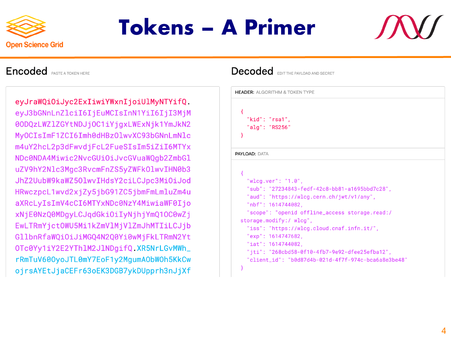

#### **Tokens – A Primer**



#### **Encoded** PASTE A TOKEN HERE

eyJraWQiOiJyc2ExIiwiYWxnIjoiUlMyNTYifQ. eyJ3bGNnLnZlciI6IjEuMCIsInN1YiI6IjI3MjM 00DQzLWZ1ZGYtNDJjOC1iYjgxLWExNjk1YmJkN2 MyOCIsImF1ZCI6Imh0dHBzOlwvXC93bGNnLmNlc m4uY2hcL2p3dFwvdjFcL2FueSIsIm5iZiI6MTYx NDc0NDA4Miwic2NvcGUiOiJvcGVuaWQqb2ZmbGl uZV9hY2Nlc3Mgc3RvcmFnZS5yZWFk0lwvIHN0b3 JhZ2UubW9kaWZ501wvIHdsY2ciLCJpc3Mi0iJod HRwczpcL1wvd2xjZy5jbG91ZC5jbmFmLmluZm4u aXRcLyIsImV4cCI6MTYxNDc0NzY4MiwiaWF0Ijo xNjE0NzQ0MDgyLCJqdGkiOiIyNjhjYmQ10C0wZj EwLTRmYjctOWU5Mi1kZmVlMjVlZmJhMTIiLCJjb GllbnRfaWQiOiJiMGQ4N2Q0Yi0wMjFkLTRmN2Yt OTc0Yy1iY2E2YThlM2JlNDgifQ.XR5NrLGvMWh\_ rRmTuV600yoJTL0mY7EoF1y2MgumA0bW0h5KkCw ojrsAYEtJjaCEFr63oEK3DGB7ykDUpprh3nJjXf

#### **Decoded** EDITTHE PAYLOAD AND SECRET

|                      | <b>HEADER: ALGORITHM &amp; TOKEN TYPE</b>           |
|----------------------|-----------------------------------------------------|
|                      |                                                     |
| ₹                    |                                                     |
| $"$ kid": $"$ rsa1", |                                                     |
| "alg": "RS256"       |                                                     |
| ł                    |                                                     |
|                      |                                                     |
| <b>PAYLOAD: DATA</b> |                                                     |
|                      |                                                     |
| ₹                    |                                                     |
|                      | "wlcg.ver": "1.0",                                  |
|                      | "sub": "27234843-fedf-42c8-bb81-a1695bbd7c28",      |
|                      | "aud": "https://wlcg.cern.ch/jwt/v1/any",           |
|                      | "nbf": 1614744082.                                  |
|                      | "scope": "openid offline_access storage.read:/      |
|                      | storage.modify:/ wlcg",                             |
|                      | "iss": "https://wlcg.cloud.cnaf.infn.it/",          |
|                      | "exp": 1614747682,                                  |
|                      | "iat": 1614744082,                                  |
|                      | "jti": "268cbd58-0f10-4fb7-9e92-dfee25efba12",      |
|                      |                                                     |
|                      | "client_id": "b0d87d4b-021d-4f7f-974c-bca6a8e3be48" |
| ł                    |                                                     |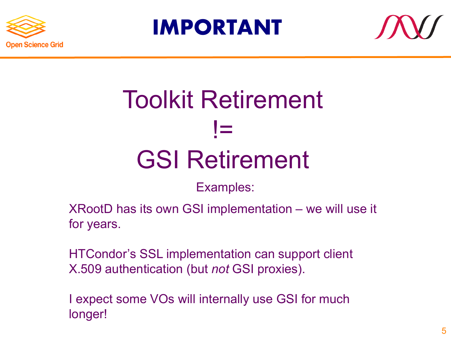





## Toolkit Retirement != GSI Retirement

Examples:

XRootD has its own GSI implementation – we will use it for years.

HTCondor's SSL implementation can support client X.509 authentication (but *not* GSI proxies).

I expect some VOs will internally use GSI for much longer!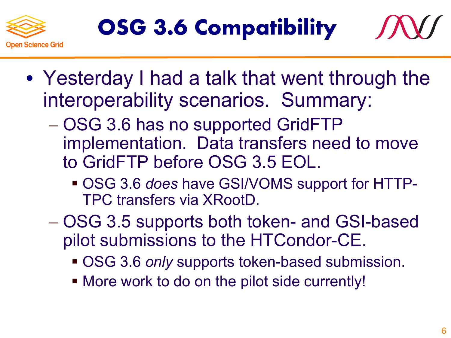





- OSG 3.6 has no supported GridFTP implementation. Data transfers need to move to GridFTP before OSG 3.5 EOL.
	- § OSG 3.6 *does* have GSI/VOMS support for HTTP-TPC transfers via XRootD.
- OSG 3.5 supports both token- and GSI-based pilot submissions to the HTCondor-CE.
	- OSG 3.6 *only* supports token-based submission.
	- More work to do on the pilot side currently!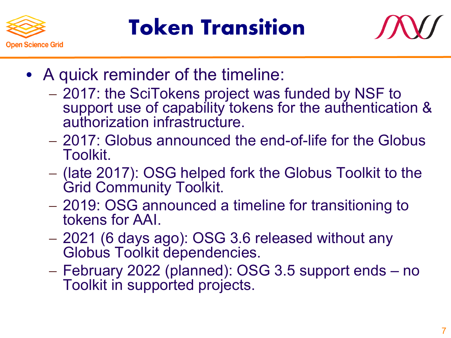

#### **Token Transition**



- A quick reminder of the timeline:
	- 2017: the SciTokens project was funded by NSF to support use of capability tokens for the authentication & authorization infrastructure.
	- 2017: Globus announced the end-of-life for the Globus Toolkit.
	- (late 2017): OSG helped fork the Globus Toolkit to the Grid Community Toolkit.
	- 2019: OSG announced a timeline for transitioning to tokens for AAI.
	- 2021 (6 days ago): OSG 3.6 released without any Globus Toolkit dependencies.
	- February 2022 (planned): OSG 3.5 support ends no Toolkit in supported projects.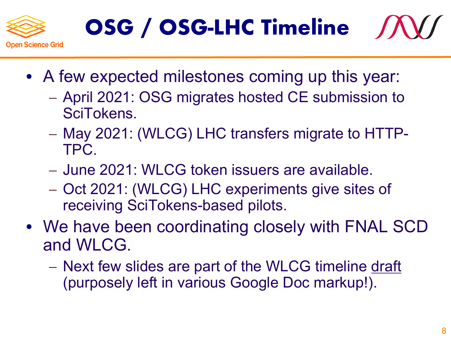

### **OSG / OSG-LHC Timeline**



- A few expected milestones coming up this year:
	- April 2021: OSG migrates hosted CE submission to SciTokens.
	- May 2021: (WLCG) LHC transfers migrate to HTTP-TPC.
	- June 2021: WLCG token issuers are available.
	- Oct 2021: (WLCG) LHC experiments give sites of receiving SciTokens-based pilots.
- We have been coordinating closely with FNAL SCD and WLCG.
	- Next few slides are part of the WLCG timeline draft (purposely left in various Google Doc markup!).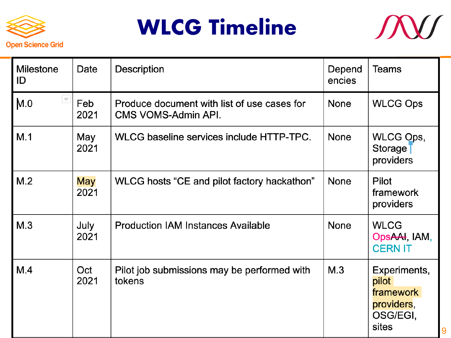





| <b>Milestone</b><br>ID          | Date               | <b>Description</b>                                                 | Depend<br>encies | <b>Teams</b>                                                          |
|---------------------------------|--------------------|--------------------------------------------------------------------|------------------|-----------------------------------------------------------------------|
| $\overline{\phantom{a}}$<br>M.0 | Feb<br>2021        | Produce document with list of use cases for<br>CMS VOMS-Admin API. | None             | <b>WLCG Ops</b>                                                       |
| M.1                             | May<br>2021        | WLCG baseline services include HTTP-TPC.                           | <b>None</b>      | WLCG Ops,<br>Storage <sup>-</sup><br>providers                        |
| M.2                             | <b>May</b><br>2021 | WLCG hosts "CE and pilot factory hackathon"                        | <b>None</b>      | <b>Pilot</b><br>framework<br>providers                                |
| M.3                             | July<br>2021       | <b>Production IAM Instances Available</b>                          | <b>None</b>      | <b>WLCG</b><br>OpsAAI, IAM,<br><b>CERN IT</b>                         |
| M.4                             | Oct<br>2021        | Pilot job submissions may be performed with<br>tokens              | M.3              | Experiments,<br>pilot<br>framework<br>providers,<br>OSG/EGI,<br>sites |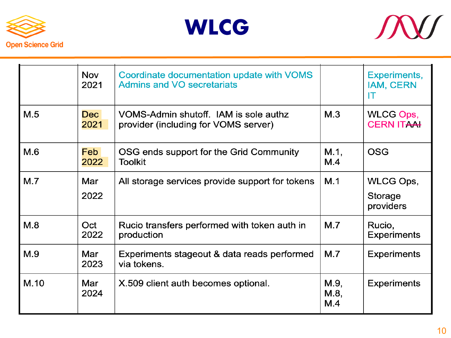





|      | <b>Nov</b><br>2021       | Coordinate documentation update with VOMS<br><b>Admins and VO secretariats</b> |                     | Experiments,<br><b>IAM, CERN</b><br>IT |
|------|--------------------------|--------------------------------------------------------------------------------|---------------------|----------------------------------------|
| M.5  | Dec <sup>1</sup><br>2021 | VOMS-Admin shutoff. IAM is sole authz<br>provider (including for VOMS server)  | M.3                 | WLCG Ops,<br><b>CERN ITAAH</b>         |
| M.6  | <b>Feb</b><br>2022       | OSG ends support for the Grid Community<br><b>Toolkit</b>                      | M.1,<br>M.4         | <b>OSG</b>                             |
| M.7  | Mar<br>2022              | All storage services provide support for tokens                                | M.1                 | WLCG Ops,<br>Storage<br>providers      |
| M.8  | Oct<br>2022              | Rucio transfers performed with token auth in<br>production                     | M.7                 | Rucio,<br><b>Experiments</b>           |
| M.9  | Mar<br>2023              | Experiments stageout & data reads performed<br>via tokens.                     | M.7                 | <b>Experiments</b>                     |
| M.10 | Mar<br>2024              | X.509 client auth becomes optional.                                            | M.9,<br>M.8,<br>M.4 | <b>Experiments</b>                     |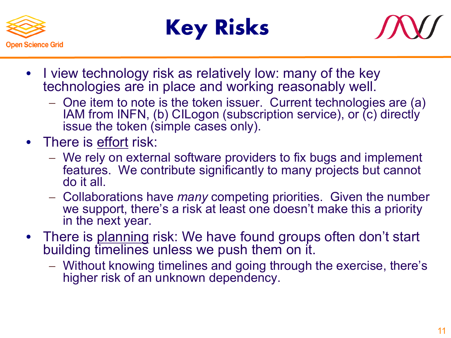





- I view technology risk as relatively low: many of the key technologies are in place and working reasonably well.
	- One item to note is the token issuer. Current technologies are (a) IAM from INFN, (b) CILogon (subscription service), or (c) directly issue the token (simple cases only).
- There is effort risk:
	- We rely on external software providers to fix bugs and implement features. We contribute significantly to many projects but cannot do it all.
	- Collaborations have *many* competing priorities. Given the number we support, there's a risk at least one doesn't make this a priority in the next year.
- There is planning risk: We have found groups often don't start building timelines unless we push them on it.
	- Without knowing timelines and going through the exercise, there's higher risk of an unknown dependency.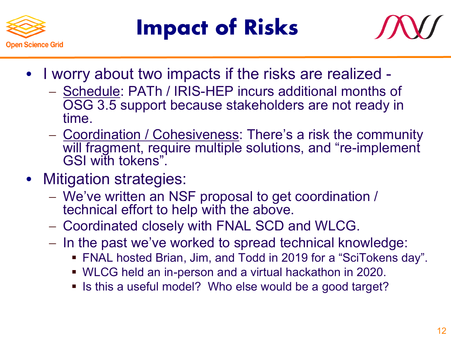

## **Impact of Risks**



- I worry about two impacts if the risks are realized
	- Schedule: PATh / IRIS-HEP incurs additional months of OSG 3.5 support because stakeholders are not ready in time.
	- Coordination / Cohesiveness: There's a risk the community will fragment, require multiple solutions, and "re-implement GSI with tokens".
- Mitigation strategies:
	- We've written an NSF proposal to get coordination / technical effort to help with the above.
	- Coordinated closely with FNAL SCD and WLCG.
	- In the past we've worked to spread technical knowledge:
		- FNAL hosted Brian, Jim, and Todd in 2019 for a "SciTokens day".
		- § WLCG held an in-person and a virtual hackathon in 2020.
		- Is this a useful model? Who else would be a good target?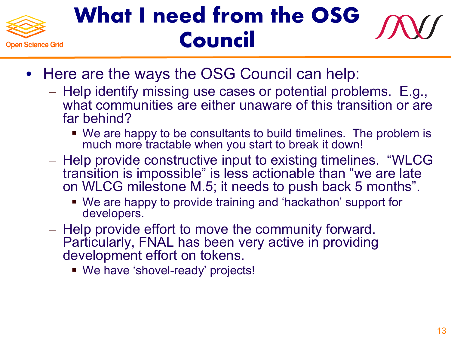

### **What I need from the OSG Council**

- Here are the ways the OSG Council can help:
	- Help identify missing use cases or potential problems. E.g., what communities are either unaware of this transition or are far behind?
		- § We are happy to be consultants to build timelines. The problem is much more tractable when you start to break it down!
	- Help provide constructive input to existing timelines. "WLCG transition is impossible" is less actionable than "we are late on WLCG milestone M.5; it needs to push back 5 months".
		- We are happy to provide training and 'hackathon' support for developers.
	- Help provide effort to move the community forward. Particularly, FNAL has been very active in providing development effort on tokens.
		- § We have 'shovel-ready' projects!